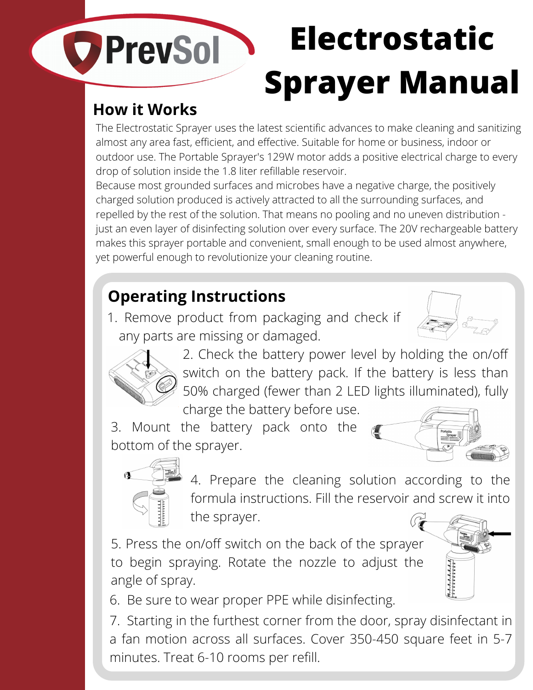# **Electrostatic** COPrevSol **Sprayer Manual How it Works**

The Electrostatic Sprayer uses the latest scientific advances to make cleaning and sanitizing almost any area fast, efficient, and effective. Suitable for home or business, indoor or outdoor use. The Portable Sprayer's 129W motor adds a positive electrical charge to every drop of solution inside the 1.8 liter refillable reservoir.

Because most grounded surfaces and microbes have a negative charge, the positively charged solution produced is actively attracted to all the surrounding surfaces, and repelled by the rest of the solution. That means no pooling and no uneven distribution just an even layer of disinfecting solution over every surface. The 20V rechargeable battery makes this sprayer portable and convenient, small enough to be used almost anywhere, yet powerful enough to revolutionize your cleaning routine.

# **Operating Instructions**

1. Remove product from packaging and check if any parts are missing or damaged.





2. Check the battery power level by holding the on/off switch on the battery pack. If the battery is less than 50% charged (fewer than 2 LED lights illuminated), fully charge the battery before use.

3. Mount the battery pack onto the bottom of the sprayer.





4. Prepare the cleaning solution according to the formula instructions. Fill the reservoir and screw it into the sprayer.

5. Press the on/off switch on the back of the sprayer to begin spraying. Rotate the nozzle to adjust the angle of spray.

6. Be sure to wear proper PPE while disinfecting.

7. Starting in the furthest corner from the door, spray disinfectant in a fan motion across all surfaces. Cover 350-450 square feet in 5-7 minutes. Treat 6-10 rooms per refill.